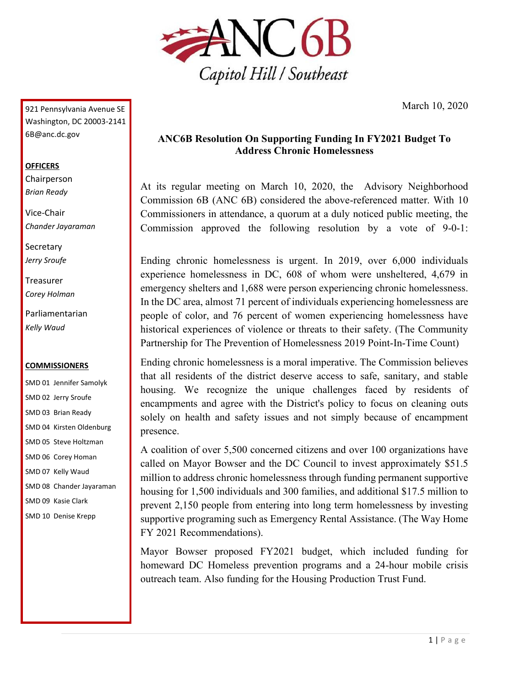

March 10, 2020

921 Pennsylvania Avenue SE Washington, DC 20003-2141 6B@anc.dc.gov

### **OFFICERS**

Chairperson *Brian Ready*

Vice-Chair *Chander Jayaraman*

**Secretary** *Jerry Sroufe*

Treasurer *Corey Holman*

Parliamentarian *Kelly Waud*

### **COMMISSIONERS**

SMD 01 Jennifer Samolyk SMD 02 Jerry Sroufe SMD 03 Brian Ready SMD 04 Kirsten Oldenburg SMD 05 Steve Holtzman SMD 06 Corey Homan SMD 07 Kelly Waud SMD 08 Chander Jayaraman SMD 09 Kasie Clark SMD 10 Denise Krepp

# **ANC6B Resolution On Supporting Funding In FY2021 Budget To Address Chronic Homelessness**

At its regular meeting on March 10, 2020, the Advisory Neighborhood Commission 6B (ANC 6B) considered the above-referenced matter. With 10 Commissioners in attendance, a quorum at a duly noticed public meeting, the Commission approved the following resolution by a vote of 9-0-1:

Ending chronic homelessness is urgent. In 2019, over 6,000 individuals experience homelessness in DC, 608 of whom were unsheltered, 4,679 in emergency shelters and 1,688 were person experiencing chronic homelessness. In the DC area, almost 71 percent of individuals experiencing homelessness are people of color, and 76 percent of women experiencing homelessness have historical experiences of violence or threats to their safety. (The Community Partnership for The Prevention of Homelessness 2019 Point-In-Time Count)

Ending chronic homelessness is a moral imperative. The Commission believes that all residents of the district deserve access to safe, sanitary, and stable housing. We recognize the unique challenges faced by residents of encampments and agree with the District's policy to focus on cleaning outs solely on health and safety issues and not simply because of encampment presence.

A coalition of over 5,500 concerned citizens and over 100 organizations have called on Mayor Bowser and the DC Council to invest approximately \$51.5 million to address chronic homelessness through funding permanent supportive housing for 1,500 individuals and 300 families, and additional \$17.5 million to prevent 2,150 people from entering into long term homelessness by investing supportive programing such as Emergency Rental Assistance. (The Way Home FY 2021 Recommendations).

Mayor Bowser proposed FY2021 budget, which included funding for homeward DC Homeless prevention programs and a 24-hour mobile crisis outreach team. Also funding for the Housing Production Trust Fund.